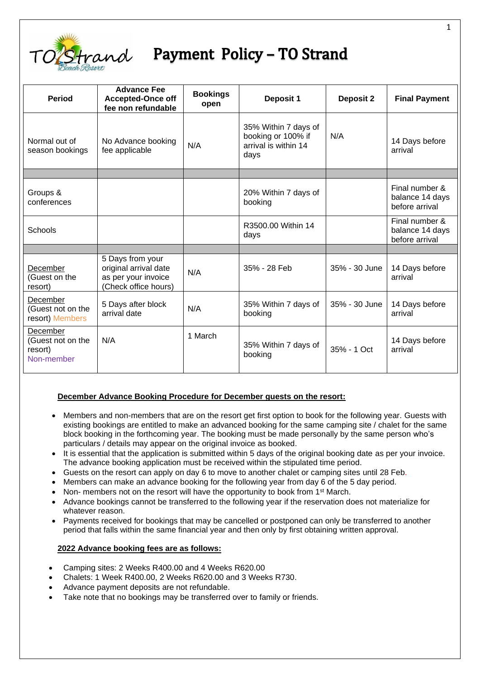

# **Payment Policy - TO Strand**

| <b>Period</b>                                          | <b>Advance Fee</b><br><b>Accepted-Once off</b><br>fee non refundable                     | <b>Bookings</b><br>open | <b>Deposit 1</b>                                                           | <b>Deposit 2</b> | <b>Final Payment</b>                                |
|--------------------------------------------------------|------------------------------------------------------------------------------------------|-------------------------|----------------------------------------------------------------------------|------------------|-----------------------------------------------------|
| Normal out of<br>season bookings                       | No Advance booking<br>fee applicable                                                     | N/A                     | 35% Within 7 days of<br>booking or 100% if<br>arrival is within 14<br>days | N/A              | 14 Days before<br>arrival                           |
|                                                        |                                                                                          |                         |                                                                            |                  |                                                     |
| Groups &<br>conferences                                |                                                                                          |                         | 20% Within 7 days of<br>booking                                            |                  | Final number &<br>balance 14 days<br>before arrival |
| Schools                                                |                                                                                          |                         | R3500.00 Within 14<br>days                                                 |                  | Final number &<br>balance 14 days<br>before arrival |
|                                                        |                                                                                          |                         |                                                                            |                  |                                                     |
| December<br>(Guest on the<br>resort)                   | 5 Days from your<br>original arrival date<br>as per your invoice<br>(Check office hours) | N/A                     | 35% - 28 Feb                                                               | 35% - 30 June    | 14 Days before<br>arrival                           |
| December<br>(Guest not on the<br>resort) Members       | 5 Days after block<br>arrival date                                                       | N/A                     | 35% Within 7 days of<br>booking                                            | 35% - 30 June    | 14 Days before<br>arrival                           |
| December<br>(Guest not on the<br>resort)<br>Non-member | N/A                                                                                      | 1 March                 | 35% Within 7 days of<br>booking                                            | 35% - 1 Oct      | 14 Days before<br>arrival                           |

## **December Advance Booking Procedure for December guests on the resort:**

- Members and non-members that are on the resort get first option to book for the following year. Guests with existing bookings are entitled to make an advanced booking for the same camping site / chalet for the same block booking in the forthcoming year. The booking must be made personally by the same person who's particulars / details may appear on the original invoice as booked.
- It is essential that the application is submitted within 5 days of the original booking date as per your invoice. The advance booking application must be received within the stipulated time period.
- Guests on the resort can apply on day 6 to move to another chalet or camping sites until 28 Feb.
- Members can make an advance booking for the following year from day 6 of the 5 day period.
- Non- members not on the resort will have the opportunity to book from 1<sup>st</sup> March.
- Advance bookings cannot be transferred to the following year if the reservation does not materialize for whatever reason.
- Payments received for bookings that may be cancelled or postponed can only be transferred to another period that falls within the same financial year and then only by first obtaining written approval.

## **2022 Advance booking fees are as follows:**

- Camping sites: 2 Weeks R400.00 and 4 Weeks R620.00
- Chalets: 1 Week R400.00, 2 Weeks R620.00 and 3 Weeks R730.
- Advance payment deposits are not refundable.
- Take note that no bookings may be transferred over to family or friends.